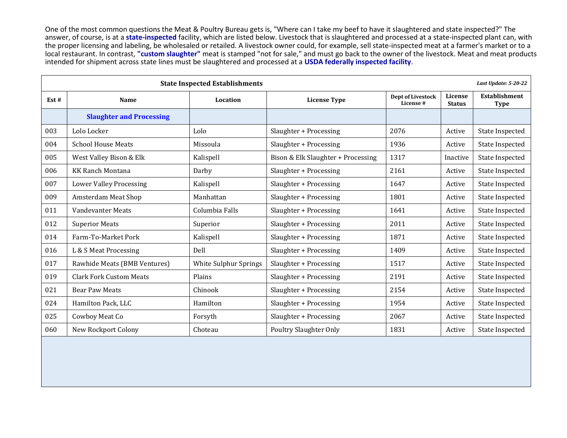One of the most common questions the Meat & Poultry Bureau gets is, "Where can I take my beef to have it slaughtered and state inspected?" The answer, of course, is at a **state-inspected** facility, which are listed below. Livestock that is slaughtered and processed at a state-inspected plant can, with the proper licensing and labeling, be wholesaled or retailed. A livestock owner could, for example, sell state-inspected meat at a farmer's market or to a local restaurant. In contrast, **"custom slaughter"** meat is stamped "not for sale," and must go back to the owner of the livestock. Meat and meat products intended for shipment across state lines must be slaughtered and processed at a **USDA federally inspected facility**.

| <b>State Inspected Establishments</b> |                                 |                       |                                    |                                |                          |                                     |
|---------------------------------------|---------------------------------|-----------------------|------------------------------------|--------------------------------|--------------------------|-------------------------------------|
| Est#                                  | Name                            | Location              | <b>License Type</b>                | Dept of Livestock<br>License # | License<br><b>Status</b> | <b>Establishment</b><br><b>Type</b> |
|                                       | <b>Slaughter and Processing</b> |                       |                                    |                                |                          |                                     |
| 003                                   | Lolo Locker                     | Lolo                  | Slaughter + Processing             | 2076                           | Active                   | State Inspected                     |
| 004                                   | <b>School House Meats</b>       | Missoula              | Slaughter + Processing             | 1936                           | Active                   | State Inspected                     |
| 005                                   | West Valley Bison & Elk         | Kalispell             | Bison & Elk Slaughter + Processing | 1317                           | Inactive                 | State Inspected                     |
| 006                                   | <b>KK Ranch Montana</b>         | Darby                 | Slaughter + Processing             | 2161                           | Active                   | State Inspected                     |
| 007                                   | <b>Lower Valley Processing</b>  | Kalispell             | Slaughter + Processing             | 1647                           | Active                   | State Inspected                     |
| 009                                   | Amsterdam Meat Shop             | Manhattan             | Slaughter + Processing             | 1801                           | Active                   | State Inspected                     |
| 011                                   | Vandevanter Meats               | Columbia Falls        | Slaughter + Processing             | 1641                           | Active                   | State Inspected                     |
| 012                                   | <b>Superior Meats</b>           | Superior              | Slaughter + Processing             | 2011                           | Active                   | State Inspected                     |
| 014                                   | Farm-To-Market Pork             | Kalispell             | Slaughter + Processing             | 1871                           | Active                   | State Inspected                     |
| 016                                   | L & S Meat Processing           | Dell                  | Slaughter + Processing             | 1409                           | Active                   | State Inspected                     |
| 017                                   | Rawhide Meats (BMB Ventures)    | White Sulphur Springs | Slaughter + Processing             | 1517                           | Active                   | State Inspected                     |
| 019                                   | <b>Clark Fork Custom Meats</b>  | Plains                | Slaughter + Processing             | 2191                           | Active                   | <b>State Inspected</b>              |
| 021                                   | <b>Bear Paw Meats</b>           | Chinook               | Slaughter + Processing             | 2154                           | Active                   | <b>State Inspected</b>              |
| 024                                   | Hamilton Pack, LLC              | Hamilton              | Slaughter + Processing             | 1954                           | Active                   | <b>State Inspected</b>              |
| 025                                   | Cowboy Meat Co                  | Forsyth               | Slaughter + Processing             | 2067                           | Active                   | State Inspected                     |
| 060                                   | <b>New Rockport Colony</b>      | Choteau               | <b>Poultry Slaughter Only</b>      | 1831                           | Active                   | State Inspected                     |